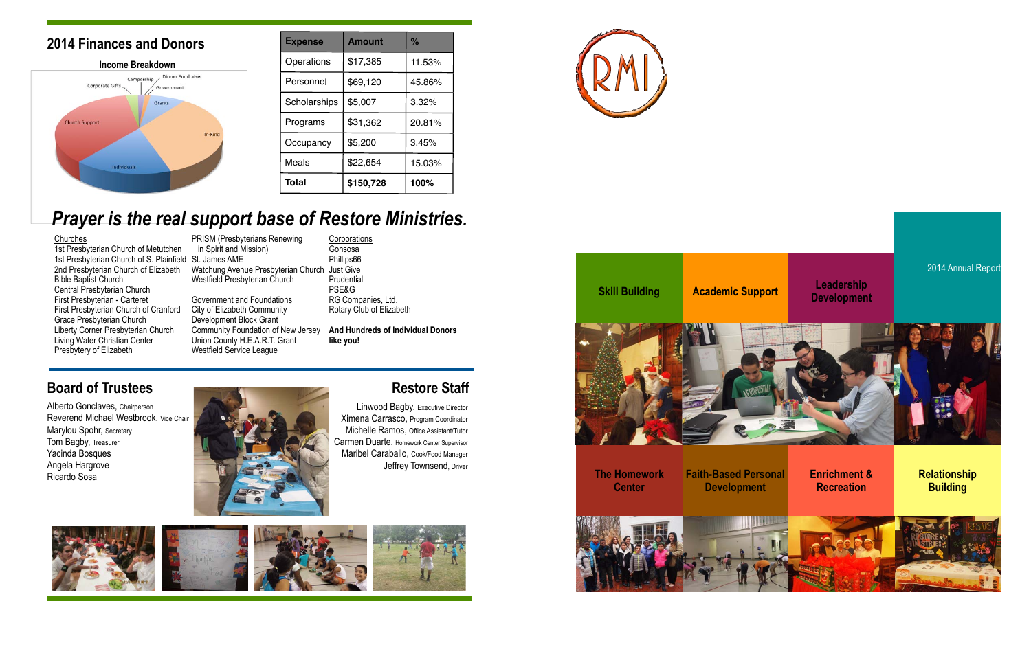

## **Academic Support Skill Building Leadership**

### 2014 Annual Report

**Development**



### Churches

1st Presbyterian Church of Metutchen 1st Presbyterian Church of S. Plainfield St. James AME 2nd Presbyterian Church of Elizabeth Bible Baptist Church Central Presbyterian Church First Presbyterian - Carteret First Presbyterian Church of Cranford Grace Presbyterian Church Liberty Corner Presbyterian Church Living Water Christian Center Presbytery of Elizabeth

**Corporations** Gonsosa Phillips66 Just Give Prudential PSE&G RG Companies, Ltd. Rotary Club of Elizabeth

PRISM (Presbyterians Renewing in Spirit and Mission) Watchung Avenue Presbyterian Church Westfield Presbyterian Church

Government and Foundations City of Elizabeth Community Development Block Grant Community Foundation of New Jersey Union County H.E.A.R.T. Grant Westfield Service League

Alberto Gonclaves, Chairperson Reverend Michael Westbrook, Vice Chair Marylou Spohr, Secretary Tom Bagby, Treasurer Yacinda Bosques Angela Hargrove Ricardo Sosa

**And Hundreds of Individual Donors like you!**

# *Prayer is the real support base of Restore Ministries.*

| <b>Expense</b> | <b>Amount</b> | %      |
|----------------|---------------|--------|
| Operations     | \$17,385      | 11.53% |
| Personnel      | \$69,120      | 45.86% |
| Scholarships   | \$5,007       | 3.32%  |
| Programs       | \$31,362      | 20.81% |
| Occupancy      | \$5,200       | 3.45%  |
| Meals          | \$22,654      | 15.03% |
| <b>Total</b>   | \$150,728     | 100%   |





## **2014 Finances and Donors**



Linwood Bagby, Executive Director Ximena Carrasco, Program Coordinator Michelle Ramos, Office Assistant/Tutor Carmen Duarte, Homework Center Supervisor Maribel Caraballo, Cook/Food Manager Jeffrey Townsend, Driver